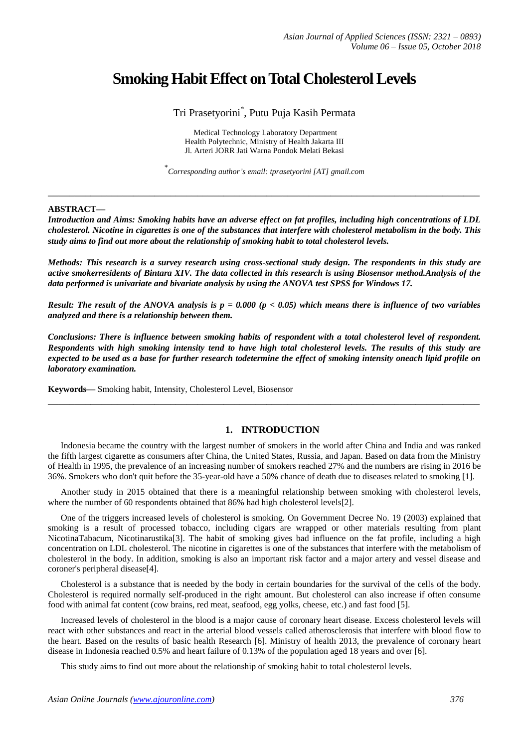# **Smoking Habit Effect on Total Cholesterol Levels**

Tri Prasetyorini\* , Putu Puja Kasih Permata

Medical Technology Laboratory Department Health Polytechnic, Ministry of Health Jakarta III Jl. Arteri JORR Jati Warna Pondok Melati Bekasi

\* *Corresponding author's email: tprasetyorini [AT] gmail.com*

**\_\_\_\_\_\_\_\_\_\_\_\_\_\_\_\_\_\_\_\_\_\_\_\_\_\_\_\_\_\_\_\_\_\_\_\_\_\_\_\_\_\_\_\_\_\_\_\_\_\_\_\_\_\_\_\_\_\_\_\_\_\_\_\_\_\_\_\_\_\_\_\_\_\_\_\_\_\_\_\_\_**

## **ABSTRACT—**

*Introduction and Aims: Smoking habits have an adverse effect on fat profiles, including high concentrations of LDL cholesterol. Nicotine in cigarettes is one of the substances that interfere with cholesterol metabolism in the body. This study aims to find out more about the relationship of smoking habit to total cholesterol levels.*

*Methods: This research is a survey research using cross-sectional study design. The respondents in this study are active smokerresidents of Bintara XIV. The data collected in this research is using Biosensor method.Analysis of the data performed is univariate and bivariate analysis by using the ANOVA test SPSS for Windows 17.*

*Result: The result of the ANOVA analysis is p = 0.000 (p < 0.05) which means there is influence of two variables analyzed and there is a relationship between them.*

*Conclusions: There is influence between smoking habits of respondent with a total cholesterol level of respondent. Respondents with high smoking intensity tend to have high total cholesterol levels. The results of this study are expected to be used as a base for further research todetermine the effect of smoking intensity oneach lipid profile on laboratory examination.*

**\_\_\_\_\_\_\_\_\_\_\_\_\_\_\_\_\_\_\_\_\_\_\_\_\_\_\_\_\_\_\_\_\_\_\_\_\_\_\_\_\_\_\_\_\_\_\_\_\_\_\_\_\_\_\_\_\_\_\_\_\_\_\_\_\_\_\_\_\_\_\_\_\_\_\_\_\_\_\_\_\_**

**Keywords—** Smoking habit, Intensity, Cholesterol Level, Biosensor

# **1. INTRODUCTION**

Indonesia became the country with the largest number of smokers in the world after China and India and was ranked the fifth largest cigarette as consumers after China, the United States, Russia, and Japan. Based on data from the Ministry of Health in 1995, the prevalence of an increasing number of smokers reached 27% and the numbers are rising in 2016 be 36%. Smokers who don't quit before the 35-year-old have a 50% chance of death due to diseases related to smoking [1].

Another study in 2015 obtained that there is a meaningful relationship between smoking with cholesterol levels, where the number of 60 respondents obtained that 86% had high cholesterol levels[2].

One of the triggers increased levels of cholesterol is smoking. On Government Decree No. 19 (2003) explained that smoking is a result of processed tobacco, including cigars are wrapped or other materials resulting from plant NicotinaTabacum, Nicotinarustika[3]. The habit of smoking gives bad influence on the fat profile, including a high concentration on LDL cholesterol. The nicotine in cigarettes is one of the substances that interfere with the metabolism of cholesterol in the body. In addition, smoking is also an important risk factor and a major artery and vessel disease and coroner's peripheral disease[4].

Cholesterol is a substance that is needed by the body in certain boundaries for the survival of the cells of the body. Cholesterol is required normally self-produced in the right amount. But cholesterol can also increase if often consume food with animal fat content (cow brains, red meat, seafood, egg yolks, cheese, etc.) and fast food [5].

Increased levels of cholesterol in the blood is a major cause of coronary heart disease. Excess cholesterol levels will react with other substances and react in the arterial blood vessels called atherosclerosis that interfere with blood flow to the heart. Based on the results of basic health Research [6]. Ministry of health 2013, the prevalence of coronary heart disease in Indonesia reached 0.5% and heart failure of 0.13% of the population aged 18 years and over [6].

This study aims to find out more about the relationship of smoking habit to total cholesterol levels.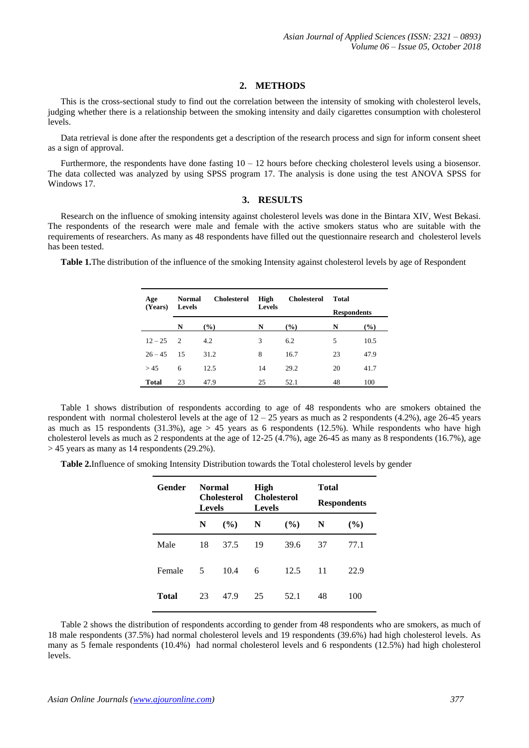# **2. METHODS**

This is the cross-sectional study to find out the correlation between the intensity of smoking with cholesterol levels, judging whether there is a relationship between the smoking intensity and daily cigarettes consumption with cholesterol levels.

Data retrieval is done after the respondents get a description of the research process and sign for inform consent sheet as a sign of approval.

Furthermore, the respondents have done fasting  $10 - 12$  hours before checking cholesterol levels using a biosensor. The data collected was analyzed by using SPSS program 17. The analysis is done using the test ANOVA SPSS for Windows 17.

## **3. RESULTS**

Research on the influence of smoking intensity against cholesterol levels was done in the Bintara XIV, West Bekasi. The respondents of the research were male and female with the active smokers status who are suitable with the requirements of researchers. As many as 48 respondents have filled out the questionnaire research and cholesterol levels has been tested.

**Table 1.**The distribution of the influence of the smoking Intensity against cholesterol levels by age of Respondent

| Age          | <b>Normal</b> | <b>Cholesterol</b> | High | <b>Cholesterol</b> | Total |                    |  |
|--------------|---------------|--------------------|------|--------------------|-------|--------------------|--|
| (Years)      |               | <b>Levels</b>      |      | <b>Levels</b>      |       | <b>Respondents</b> |  |
|              | N             | $($ %)             | N    | $(\%)$             | N     | $(\%)$             |  |
| $12 - 25$    | $\mathcal{L}$ | 4.2                | 3    | 6.2                | 5     | 10.5               |  |
| $26 - 45$    | -15           | 31.2               | 8    | 16.7               | 23    | 47.9               |  |
| > 45         | 6             | 12.5               | 14   | 29.2               | 20    | 41.7               |  |
| <b>Total</b> | 23            | 47.9               | 25   | 52.1               | 48    | 100                |  |

Table 1 shows distribution of respondents according to age of 48 respondents who are smokers obtained the respondent with normal cholesterol levels at the age of  $12 - 25$  years as much as 2 respondents (4.2%), age 26-45 years as much as 15 respondents (31.3%), age  $> 45$  years as 6 respondents (12.5%). While respondents who have high cholesterol levels as much as 2 respondents at the age of 12-25 (4.7%), age 26-45 as many as 8 respondents (16.7%), age  $> 45$  years as many as 14 respondents (29.2%).

**Table 2.**Influence of smoking Intensity Distribution towards the Total cholesterol levels by gender

| Gender | Normal<br><b>Cholesterol</b><br><b>Levels</b> |        | High<br><b>Levels</b> | <b>Cholesterol</b> | Total<br><b>Respondents</b> |               |  |
|--------|-----------------------------------------------|--------|-----------------------|--------------------|-----------------------------|---------------|--|
|        | N                                             | $($ %) | N                     | $($ %)             | N                           | $\frac{9}{6}$ |  |
| Male   | 18                                            | 37.5   | 19                    | 39.6               | 37                          | 77.1          |  |
| Female | -5                                            | 10.4   | 6                     | 12.5               | 11                          | 22.9          |  |
| Total  | 23                                            | 47.9   | 25                    | 52.1               | 48                          | 100           |  |

Table 2 shows the distribution of respondents according to gender from 48 respondents who are smokers, as much of 18 male respondents (37.5%) had normal cholesterol levels and 19 respondents (39.6%) had high cholesterol levels. As many as 5 female respondents (10.4%) had normal cholesterol levels and 6 respondents (12.5%) had high cholesterol levels.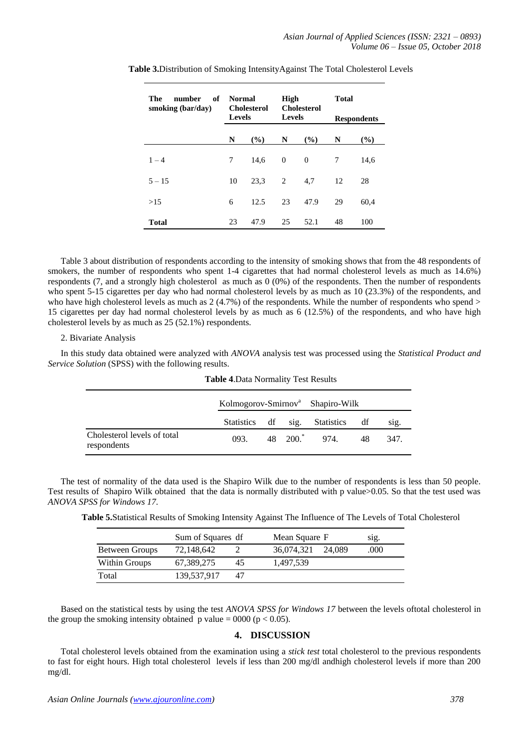| number<br>- of<br>The<br>smoking (bar/day) | <b>Normal</b><br><b>Cholesterol</b><br><b>Levels</b> |      | High<br><b>Cholesterol</b><br><b>Levels</b> |          | <b>Total</b><br><b>Respondents</b> |      |
|--------------------------------------------|------------------------------------------------------|------|---------------------------------------------|----------|------------------------------------|------|
|                                            | N                                                    | (%)  | N                                           | (%)      | N                                  | (%)  |
| $1 - 4$                                    | 7                                                    | 14.6 | $\theta$                                    | $\Omega$ | 7                                  | 14.6 |
| $5 - 15$                                   | 10                                                   | 23.3 | 2                                           | 4.7      | 12                                 | 28   |
| >15                                        | 6                                                    | 12.5 | 23                                          | 47.9     | 29                                 | 60,4 |
| <b>Total</b>                               | 23                                                   | 47.9 | 25                                          | 52.1     | 48                                 | 100  |

**Table 3.**Distribution of Smoking IntensityAgainst The Total Cholesterol Levels

Table 3 about distribution of respondents according to the intensity of smoking shows that from the 48 respondents of smokers, the number of respondents who spent 1-4 cigarettes that had normal cholesterol levels as much as 14.6%) respondents (7, and a strongly high cholesterol as much as 0 (0%) of the respondents. Then the number of respondents who spent 5-15 cigarettes per day who had normal cholesterol levels by as much as 10 (23.3%) of the respondents, and who have high cholesterol levels as much as  $2(4.7%)$  of the respondents. While the number of respondents who spend  $>$ 15 cigarettes per day had normal cholesterol levels by as much as 6 (12.5%) of the respondents, and who have high cholesterol levels by as much as 25 (52.1%) respondents.

## 2. Bivariate Analysis

In this study data obtained were analyzed with *ANOVA* analysis test was processed using the *Statistical Product and Service Solution* (SPSS) with the following results.

|                                            | Kolmogorov-Smirnov <sup>a</sup> Shapiro-Wilk |  |  |                                  |     |        |
|--------------------------------------------|----------------------------------------------|--|--|----------------------------------|-----|--------|
|                                            |                                              |  |  | Statistics df sig. Statistics df |     | $\sin$ |
| Cholesterol levels of total<br>respondents | 093.                                         |  |  | 48 200. $\degree$ 974.           | -48 | 347.   |

#### **Table 4**.Data Normality Test Results

The test of normality of the data used is the Shapiro Wilk due to the number of respondents is less than 50 people. Test results of Shapiro Wilk obtained that the data is normally distributed with p value>0.05. So that the test used was *ANOVA SPSS for Windows 17*.

**Table 5.**Statistical Results of Smoking Intensity Against The Influence of The Levels of Total Cholesterol

|                | Sum of Squares df |    | Mean Square F |        | S1g. |
|----------------|-------------------|----|---------------|--------|------|
| Between Groups | 72,148,642        |    | 36,074,321    | 24.089 | .000 |
| Within Groups  | 67,389,275        | 45 | 1.497.539     |        |      |
| Total          | 139,537,917       | 47 |               |        |      |

Based on the statistical tests by using the test *ANOVA SPSS for Windows 17* between the levels oftotal cholesterol in the group the smoking intensity obtained p value =  $0000$  (p < 0.05).

# **4. DISCUSSION**

Total cholesterol levels obtained from the examination using a *stick test* total cholesterol to the previous respondents to fast for eight hours. High total cholesterol levels if less than 200 mg/dl andhigh cholesterol levels if more than 200 mg/dl.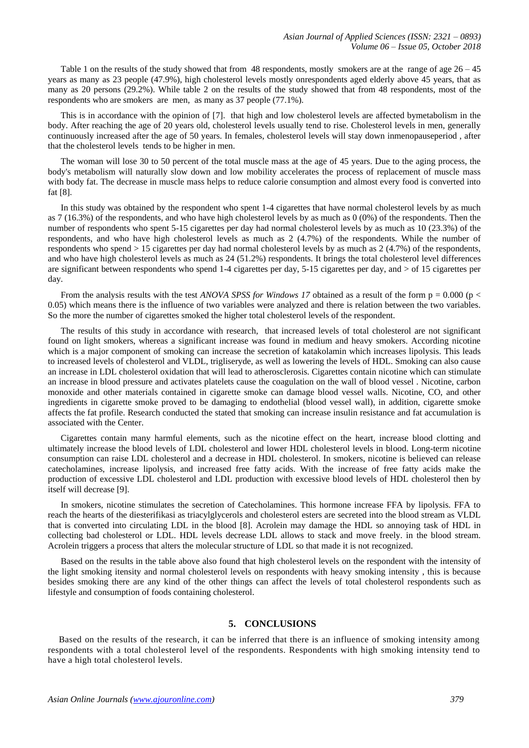Table 1 on the results of the study showed that from 48 respondents, mostly smokers are at the range of age  $26 - 45$ years as many as 23 people (47.9%), high cholesterol levels mostly onrespondents aged elderly above 45 years, that as many as 20 persons (29.2%). While table 2 on the results of the study showed that from 48 respondents, most of the respondents who are smokers are men, as many as 37 people (77.1%).

This is in accordance with the opinion of [7]. that high and low cholesterol levels are affected bymetabolism in the body. After reaching the age of 20 years old, cholesterol levels usually tend to rise. Cholesterol levels in men, generally continuously increased after the age of 50 years. In females, cholesterol levels will stay down inmenopauseperiod , after that the cholesterol levels tends to be higher in men.

The woman will lose 30 to 50 percent of the total muscle mass at the age of 45 years. Due to the aging process, the body's metabolism will naturally slow down and low mobility accelerates the process of replacement of muscle mass with body fat. The decrease in muscle mass helps to reduce calorie consumption and almost every food is converted into fat [8].

In this study was obtained by the respondent who spent 1-4 cigarettes that have normal cholesterol levels by as much as 7 (16.3%) of the respondents, and who have high cholesterol levels by as much as 0 (0%) of the respondents. Then the number of respondents who spent 5-15 cigarettes per day had normal cholesterol levels by as much as 10 (23.3%) of the respondents, and who have high cholesterol levels as much as 2 (4.7%) of the respondents. While the number of respondents who spend > 15 cigarettes per day had normal cholesterol levels by as much as 2 (4.7%) of the respondents, and who have high cholesterol levels as much as 24 (51.2%) respondents. It brings the total cholesterol level differences are significant between respondents who spend 1-4 cigarettes per day, 5-15 cigarettes per day, and > of 15 cigarettes per day.

From the analysis results with the test *ANOVA SPSS for Windows 17* obtained as a result of the form  $p = 0.000$  ( $p <$ 0.05) which means there is the influence of two variables were analyzed and there is relation between the two variables. So the more the number of cigarettes smoked the higher total cholesterol levels of the respondent.

The results of this study in accordance with research, that increased levels of total cholesterol are not significant found on light smokers, whereas a significant increase was found in medium and heavy smokers. According nicotine which is a major component of smoking can increase the secretion of katakolamin which increases lipolysis. This leads to increased levels of cholesterol and VLDL, trigliseryde, as well as lowering the levels of HDL. Smoking can also cause an increase in LDL cholesterol oxidation that will lead to atherosclerosis. Cigarettes contain nicotine which can stimulate an increase in blood pressure and activates platelets cause the coagulation on the wall of blood vessel . Nicotine, carbon monoxide and other materials contained in cigarette smoke can damage blood vessel walls. Nicotine, CO, and other ingredients in cigarette smoke proved to be damaging to endothelial (blood vessel wall), in addition, cigarette smoke affects the fat profile. Research conducted the stated that smoking can increase insulin resistance and fat accumulation is associated with the Center.

Cigarettes contain many harmful elements, such as the nicotine effect on the heart, increase blood clotting and ultimately increase the blood levels of LDL cholesterol and lower HDL cholesterol levels in blood. Long-term nicotine consumption can raise LDL cholesterol and a decrease in HDL cholesterol. In smokers, nicotine is believed can release catecholamines, increase lipolysis, and increased free fatty acids. With the increase of free fatty acids make the production of excessive LDL cholesterol and LDL production with excessive blood levels of HDL cholesterol then by itself will decrease [9].

In smokers, nicotine stimulates the secretion of Catecholamines. This hormone increase FFA by lipolysis. FFA to reach the hearts of the diesterifikasi as triacylglycerols and cholesterol esters are secreted into the blood stream as VLDL that is converted into circulating LDL in the blood [8]. Acrolein may damage the HDL so annoying task of HDL in collecting bad cholesterol or LDL. HDL levels decrease LDL allows to stack and move freely. in the blood stream. Acrolein triggers a process that alters the molecular structure of LDL so that made it is not recognized.

Based on the results in the table above also found that high cholesterol levels on the respondent with the intensity of the light smoking itensity and normal cholesterol levels on respondents with heavy smoking intensity , this is because besides smoking there are any kind of the other things can affect the levels of total cholesterol respondents such as lifestyle and consumption of foods containing cholesterol.

## **5. CONCLUSIONS**

Based on the results of the research, it can be inferred that there is an influence of smoking intensity among respondents with a total cholesterol level of the respondents. Respondents with high smoking intensity tend to have a high total cholesterol levels.